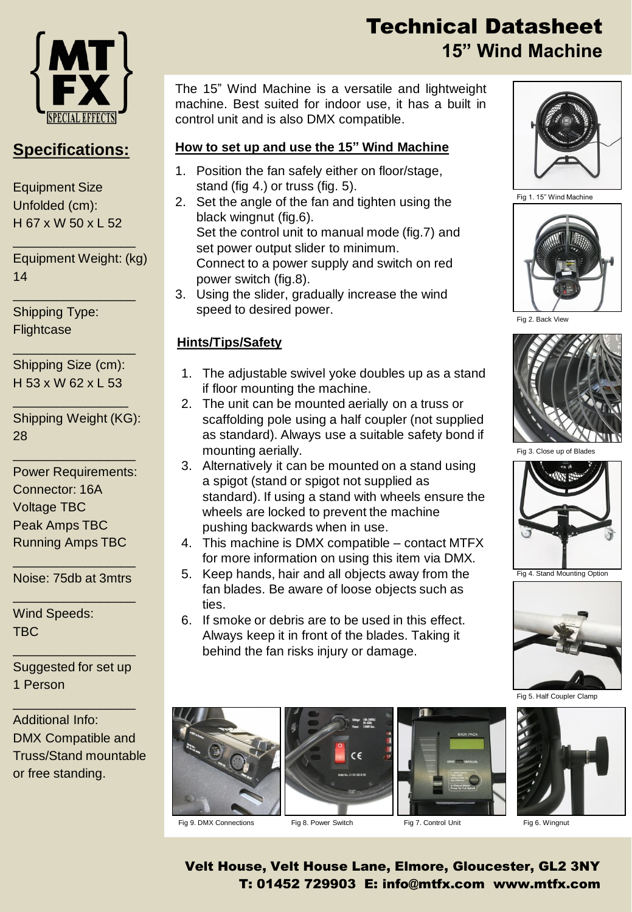

### **Specifications:**

Equipment Size Unfolded (cm): H 67 x W 50 x L 52

Equipment Weight: (kg) 14

\_\_\_\_\_\_\_\_\_\_\_\_\_\_\_\_\_

\_\_\_\_\_\_\_\_\_\_\_\_\_\_\_\_\_

Shipping Type: **Flightcase** 

Shipping Size (cm): H 53 x W 62 x L 53

\_\_\_\_\_\_\_\_\_\_\_\_\_\_\_\_

\_\_\_\_\_\_\_\_\_\_\_\_\_\_\_\_\_

Shipping Weight (KG): 28

\_\_\_\_\_\_\_\_\_\_\_\_\_\_\_\_\_

Power Requirements: Connector: 16A Voltage TBC Peak Amps TBC Running Amps TBC

\_\_\_\_\_\_\_\_\_\_\_\_\_\_\_\_\_ Noise: 75db at 3mtrs \_\_\_\_\_\_\_\_\_\_\_\_\_\_\_\_\_

Wind Speeds: TBC

Suggested for set up 1 Person

\_\_\_\_\_\_\_\_\_\_\_\_\_\_\_\_\_

\_\_\_\_\_\_\_\_\_\_\_\_\_\_\_\_\_

Additional Info: DMX Compatible and Truss/Stand mountable or free standing.

# Technical Datasheet **15" Wind Machine**

The 15" Wind Machine is a versatile and lightweight machine. Best suited for indoor use, it has a built in control unit and is also DMX compatible.

#### **How to set up and use the 15" Wind Machine**

- 1. Position the fan safely either on floor/stage, stand (fig 4.) or truss (fig. 5).
- 2. Set the angle of the fan and tighten using the black wingnut (fig.6). Set the control unit to manual mode (fig.7) and

set power output slider to minimum. Connect to a power supply and switch on red power switch (fig.8).

3. Using the slider, gradually increase the wind speed to desired power.

#### **Hints/Tips/Safety**

- 1. The adjustable swivel yoke doubles up as a stand if floor mounting the machine.
- 2. The unit can be mounted aerially on a truss or scaffolding pole using a half coupler (not supplied as standard). Always use a suitable safety bond if mounting aerially.
- 3. Alternatively it can be mounted on a stand using a spigot (stand or spigot not supplied as standard). If using a stand with wheels ensure the wheels are locked to prevent the machine pushing backwards when in use.
- 4. This machine is DMX compatible contact MTFX for more information on using this item via DMX.
- 5. Keep hands, hair and all objects away from the fan blades. Be aware of loose objects such as ties.
- 6. If smoke or debris are to be used in this effect. Always keep it in front of the blades. Taking it behind the fan risks injury or damage.











Fig 1. 15" Wind Machine



Fig 2. Back View



Fig 3. Close up of Blades



Fig 4. Stand Mounting Option



Velt House, Velt House Lane, Elmore, Gloucester, GL2 3NY T: 01452 729903 E: info@mtfx.com www.mtfx.com Fig 9. DMX Connections Fig 8. Power Switch Fig 7. Control Unit Fig 6. Wingnut